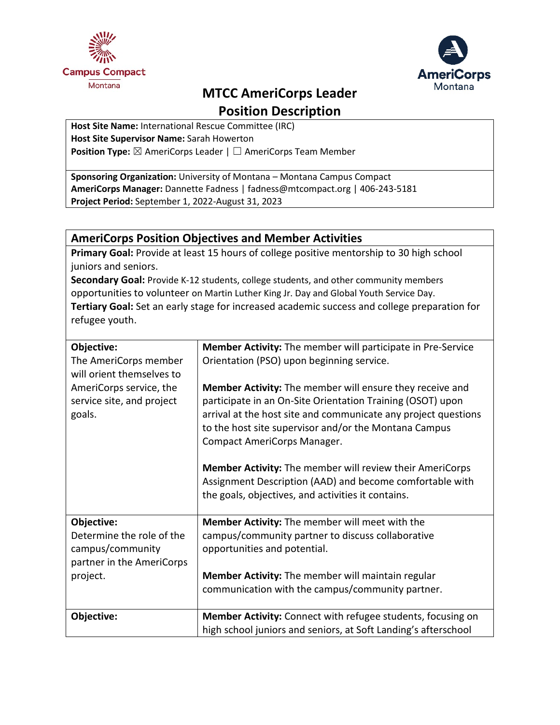



# **MTCC AmeriCorps Leader**

**Position Description**

**Host Site Name:** International Rescue Committee (IRC) **Host Site Supervisor Name:** Sarah Howerton **Position Type:** ⊠ AmeriCorps Leader | □ AmeriCorps Team Member

**Sponsoring Organization:** University of Montana – Montana Campus Compact **AmeriCorps Manager:** Dannette Fadness | fadness@mtcompact.org | 406-243-5181 **Project Period:** September 1, 2022-August 31, 2023

### **AmeriCorps Position Objectives and Member Activities**

**Primary Goal:** Provide at least 15 hours of college positive mentorship to 30 high school juniors and seniors.

**Secondary Goal:** Provide K-12 students, college students, and other community members opportunities to volunteer on Martin Luther King Jr. Day and Global Youth Service Day. **Tertiary Goal:** Set an early stage for increased academic success and college preparation for refugee youth.

| Objective:                | Member Activity: The member will participate in Pre-Service     |
|---------------------------|-----------------------------------------------------------------|
| The AmeriCorps member     | Orientation (PSO) upon beginning service.                       |
| will orient themselves to |                                                                 |
| AmeriCorps service, the   | Member Activity: The member will ensure they receive and        |
| service site, and project | participate in an On-Site Orientation Training (OSOT) upon      |
| goals.                    | arrival at the host site and communicate any project questions  |
|                           | to the host site supervisor and/or the Montana Campus           |
|                           | <b>Compact AmeriCorps Manager.</b>                              |
|                           |                                                                 |
|                           | <b>Member Activity:</b> The member will review their AmeriCorps |
|                           | Assignment Description (AAD) and become comfortable with        |
|                           | the goals, objectives, and activities it contains.              |
| Objective:                | Member Activity: The member will meet with the                  |
| Determine the role of the | campus/community partner to discuss collaborative               |
| campus/community          | opportunities and potential.                                    |
| partner in the AmeriCorps |                                                                 |
| project.                  | Member Activity: The member will maintain regular               |
|                           | communication with the campus/community partner.                |
|                           |                                                                 |
| Objective:                | Member Activity: Connect with refugee students, focusing on     |
|                           | high school juniors and seniors, at Soft Landing's afterschool  |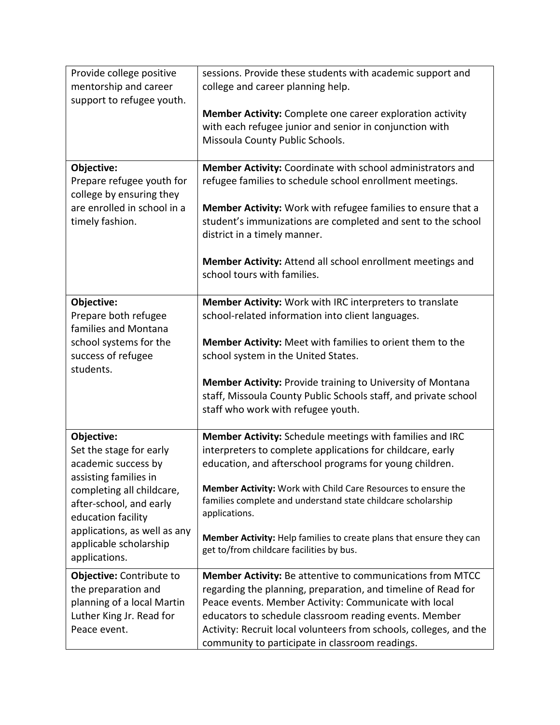| Provide college positive<br>mentorship and career<br>support to refugee youth. | sessions. Provide these students with academic support and<br>college and career planning help.                                                                     |
|--------------------------------------------------------------------------------|---------------------------------------------------------------------------------------------------------------------------------------------------------------------|
|                                                                                | <b>Member Activity:</b> Complete one career exploration activity<br>with each refugee junior and senior in conjunction with<br>Missoula County Public Schools.      |
| Objective:<br>Prepare refugee youth for<br>college by ensuring they            | Member Activity: Coordinate with school administrators and<br>refugee families to schedule school enrollment meetings.                                              |
| are enrolled in school in a<br>timely fashion.                                 | Member Activity: Work with refugee families to ensure that a<br>student's immunizations are completed and sent to the school<br>district in a timely manner.        |
|                                                                                | Member Activity: Attend all school enrollment meetings and<br>school tours with families.                                                                           |
| Objective:<br>Prepare both refugee<br>families and Montana                     | Member Activity: Work with IRC interpreters to translate<br>school-related information into client languages.                                                       |
| school systems for the<br>success of refugee<br>students.                      | Member Activity: Meet with families to orient them to the<br>school system in the United States.                                                                    |
|                                                                                | Member Activity: Provide training to University of Montana<br>staff, Missoula County Public Schools staff, and private school<br>staff who work with refugee youth. |
| Objective:                                                                     | Member Activity: Schedule meetings with families and IRC                                                                                                            |
| Set the stage for early<br>academic success by<br>assisting families in        | interpreters to complete applications for childcare, early<br>education, and afterschool programs for young children.                                               |
| completing all childcare,<br>after-school, and early<br>education facility     | Member Activity: Work with Child Care Resources to ensure the<br>families complete and understand state childcare scholarship<br>applications.                      |
| applications, as well as any<br>applicable scholarship<br>applications.        | Member Activity: Help families to create plans that ensure they can<br>get to/from childcare facilities by bus.                                                     |
| Objective: Contribute to                                                       | <b>Member Activity: Be attentive to communications from MTCC</b>                                                                                                    |
| the preparation and<br>planning of a local Martin                              | regarding the planning, preparation, and timeline of Read for<br>Peace events. Member Activity: Communicate with local                                              |
| Luther King Jr. Read for                                                       | educators to schedule classroom reading events. Member                                                                                                              |
| Peace event.                                                                   | Activity: Recruit local volunteers from schools, colleges, and the<br>community to participate in classroom readings.                                               |